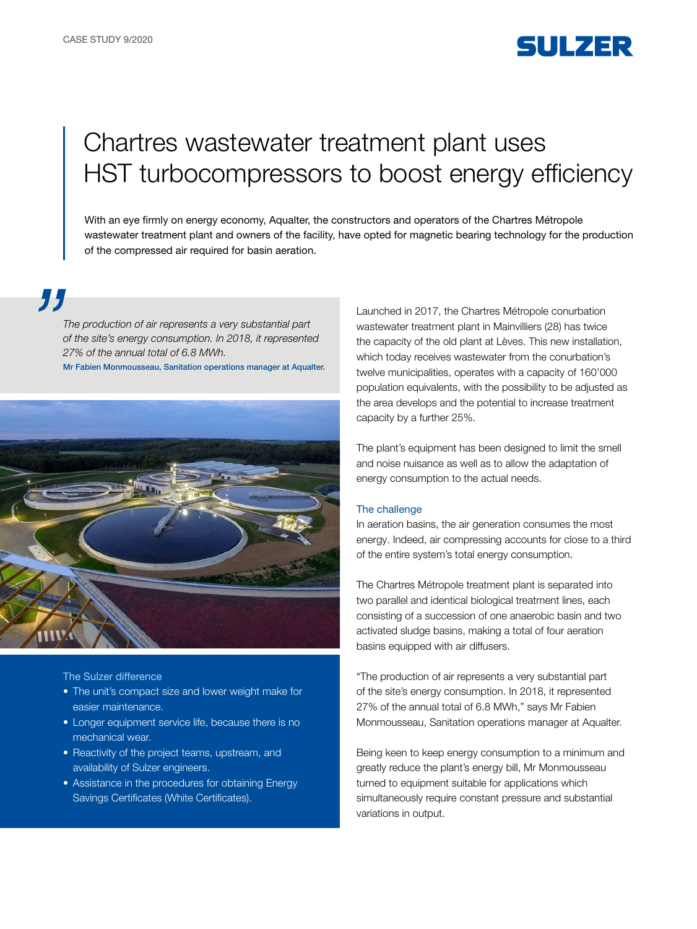## SULZER

# Chartres wastewater treatment plant uses HST turbocompressors to boost energy efficiency

With an eye firmly on energy economy, Aqualter, the constructors and operators of the Chartres Métropole wastewater treatment plant and owners of the facility, have opted for magnetic bearing technology for the production of the compressed air required for basin aeration.

77

*The production of air represents a very substantial part of the site's energy consumption. In 2018, it represented 27% of the annual total of 6.8 MWh.* 

Mr Fabien Monmousseau, Sanitation operations manager at Aqualter.



The Sulzer difference

- The unit's compact size and lower weight make for easier maintenance.
- Longer equipment service life, because there is no mechanical wear.
- Reactivity of the project teams, upstream, and availability of Sulzer engineers.
- Assistance in the procedures for obtaining Energy Savings Certificates (White Certificates).

Launched in 2017, the Chartres Métropole conurbation wastewater treatment plant in Mainvilliers (28) has twice the capacity of the old plant at Lèves. This new installation, which today receives wastewater from the conurbation's twelve municipalities, operates with a capacity of 160'000 population equivalents, with the possibility to be adjusted as the area develops and the potential to increase treatment capacity by a further 25%.

The plant's equipment has been designed to limit the smell and noise nuisance as well as to allow the adaptation of energy consumption to the actual needs.

#### The challenge

In aeration basins, the air generation consumes the most energy. Indeed, air compressing accounts for close to a third of the entire system's total energy consumption.

The Chartres Métropole treatment plant is separated into two parallel and identical biological treatment lines, each consisting of a succession of one anaerobic basin and two activated sludge basins, making a total of four aeration basins equipped with air diffusers.

"The production of air represents a very substantial part of the site's energy consumption. In 2018, it represented 27% of the annual total of 6.8 MWh," says Mr Fabien Monmousseau, Sanitation operations manager at Aqualter.

Being keen to keep energy consumption to a minimum and greatly reduce the plant's energy bill, Mr Monmousseau turned to equipment suitable for applications which simultaneously require constant pressure and substantial variations in output.